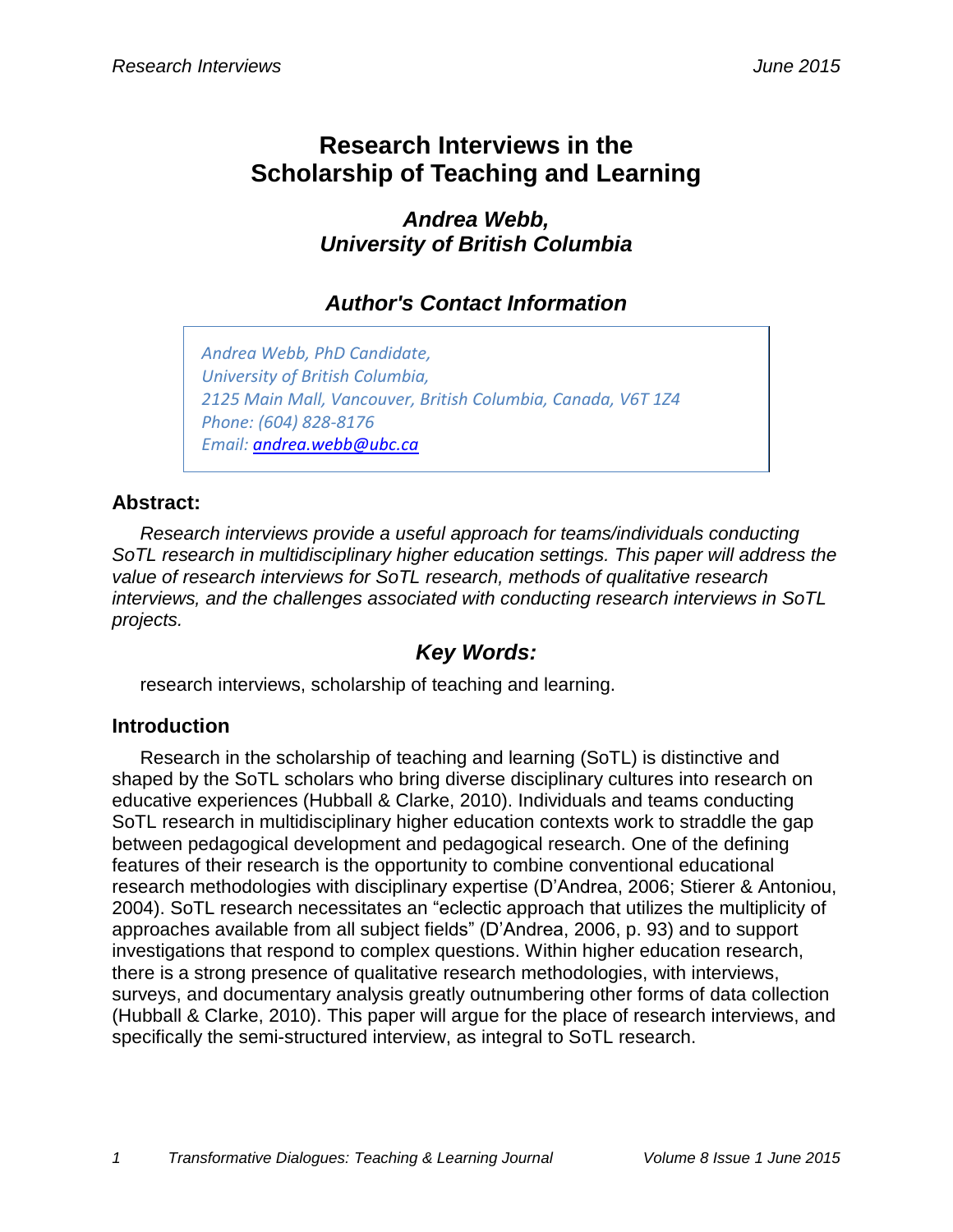# **Research Interviews in the Scholarship of Teaching and Learning**

*Andrea Webb, University of British Columbia*

# *Author's Contact Information*

*Andrea Webb, PhD Candidate, University of British Columbia, 2125 Main Mall, Vancouver, British Columbia, Canada, V6T 1Z4 Phone: (604) 828-8176 Email: [andrea.webb@ubc.ca](mailto:andrea.webb@ubc.ca)*

#### **Abstract:**

*Research interviews provide a useful approach for teams/individuals conducting SoTL research in multidisciplinary higher education settings. This paper will address the value of research interviews for SoTL research, methods of qualitative research interviews, and the challenges associated with conducting research interviews in SoTL projects.*

## *Key Words:*

research interviews, scholarship of teaching and learning.

## **Introduction**

Research in the scholarship of teaching and learning (SoTL) is distinctive and shaped by the SoTL scholars who bring diverse disciplinary cultures into research on educative experiences (Hubball & Clarke, 2010). Individuals and teams conducting SoTL research in multidisciplinary higher education contexts work to straddle the gap between pedagogical development and pedagogical research. One of the defining features of their research is the opportunity to combine conventional educational research methodologies with disciplinary expertise (D'Andrea, 2006; Stierer & Antoniou, 2004). SoTL research necessitates an "eclectic approach that utilizes the multiplicity of approaches available from all subject fields" (D'Andrea, 2006, p. 93) and to support investigations that respond to complex questions. Within higher education research, there is a strong presence of qualitative research methodologies, with interviews, surveys, and documentary analysis greatly outnumbering other forms of data collection (Hubball & Clarke, 2010). This paper will argue for the place of research interviews, and specifically the semi-structured interview, as integral to SoTL research.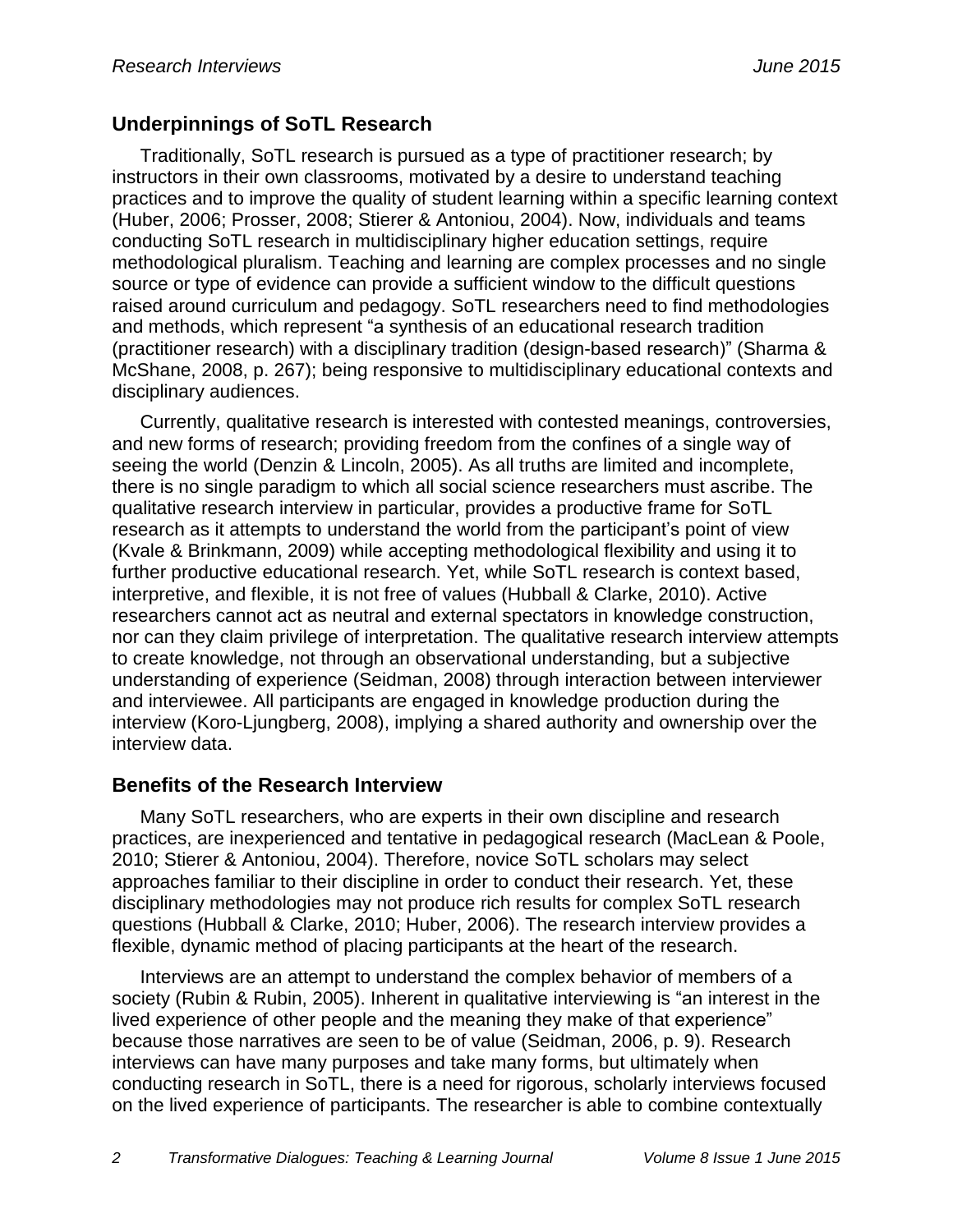#### **Underpinnings of SoTL Research**

Traditionally, SoTL research is pursued as a type of practitioner research; by instructors in their own classrooms, motivated by a desire to understand teaching practices and to improve the quality of student learning within a specific learning context (Huber, 2006; Prosser, 2008; Stierer & Antoniou, 2004). Now, individuals and teams conducting SoTL research in multidisciplinary higher education settings, require methodological pluralism. Teaching and learning are complex processes and no single source or type of evidence can provide a sufficient window to the difficult questions raised around curriculum and pedagogy. SoTL researchers need to find methodologies and methods, which represent "a synthesis of an educational research tradition (practitioner research) with a disciplinary tradition (design-based research)" (Sharma & McShane, 2008, p. 267); being responsive to multidisciplinary educational contexts and disciplinary audiences.

Currently, qualitative research is interested with contested meanings, controversies, and new forms of research; providing freedom from the confines of a single way of seeing the world (Denzin & Lincoln, 2005). As all truths are limited and incomplete, there is no single paradigm to which all social science researchers must ascribe. The qualitative research interview in particular, provides a productive frame for SoTL research as it attempts to understand the world from the participant's point of view (Kvale & Brinkmann, 2009) while accepting methodological flexibility and using it to further productive educational research. Yet, while SoTL research is context based, interpretive, and flexible, it is not free of values (Hubball & Clarke, 2010). Active researchers cannot act as neutral and external spectators in knowledge construction, nor can they claim privilege of interpretation. The qualitative research interview attempts to create knowledge, not through an observational understanding, but a subjective understanding of experience (Seidman, 2008) through interaction between interviewer and interviewee. All participants are engaged in knowledge production during the interview (Koro-Ljungberg, 2008), implying a shared authority and ownership over the interview data.

#### **Benefits of the Research Interview**

Many SoTL researchers, who are experts in their own discipline and research practices, are inexperienced and tentative in pedagogical research (MacLean & Poole, 2010; Stierer & Antoniou, 2004). Therefore, novice SoTL scholars may select approaches familiar to their discipline in order to conduct their research. Yet, these disciplinary methodologies may not produce rich results for complex SoTL research questions (Hubball & Clarke, 2010; Huber, 2006). The research interview provides a flexible, dynamic method of placing participants at the heart of the research.

Interviews are an attempt to understand the complex behavior of members of a society (Rubin & Rubin, 2005). Inherent in qualitative interviewing is "an interest in the lived experience of other people and the meaning they make of that experience" because those narratives are seen to be of value (Seidman, 2006, p. 9). Research interviews can have many purposes and take many forms, but ultimately when conducting research in SoTL, there is a need for rigorous, scholarly interviews focused on the lived experience of participants. The researcher is able to combine contextually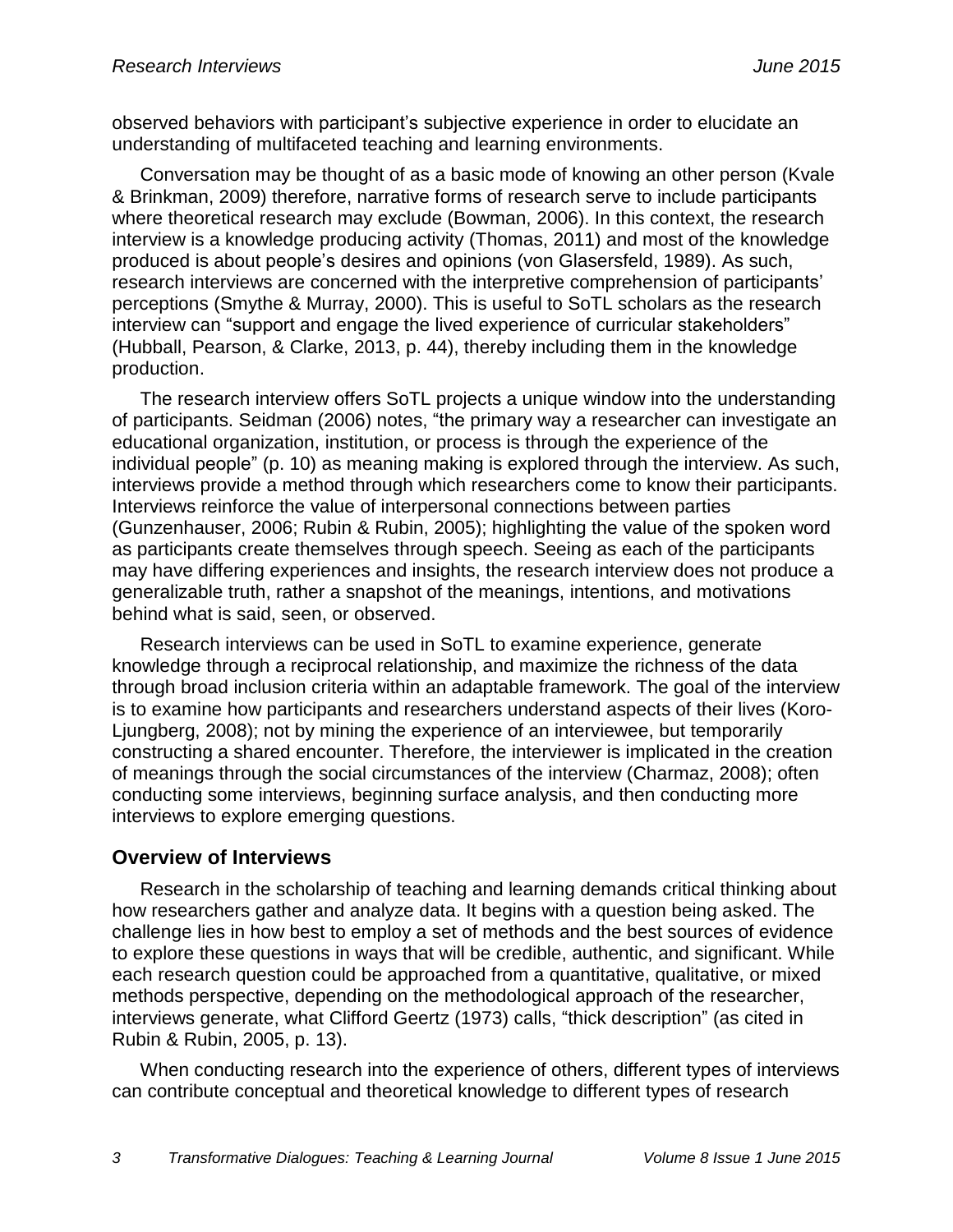observed behaviors with participant's subjective experience in order to elucidate an understanding of multifaceted teaching and learning environments.

Conversation may be thought of as a basic mode of knowing an other person (Kvale & Brinkman, 2009) therefore, narrative forms of research serve to include participants where theoretical research may exclude (Bowman, 2006). In this context, the research interview is a knowledge producing activity (Thomas, 2011) and most of the knowledge produced is about people's desires and opinions (von Glasersfeld, 1989). As such, research interviews are concerned with the interpretive comprehension of participants' perceptions (Smythe & Murray, 2000). This is useful to SoTL scholars as the research interview can "support and engage the lived experience of curricular stakeholders" (Hubball, Pearson, & Clarke, 2013, p. 44), thereby including them in the knowledge production.

The research interview offers SoTL projects a unique window into the understanding of participants. Seidman (2006) notes, "the primary way a researcher can investigate an educational organization, institution, or process is through the experience of the individual people" (p. 10) as meaning making is explored through the interview. As such, interviews provide a method through which researchers come to know their participants. Interviews reinforce the value of interpersonal connections between parties (Gunzenhauser, 2006; Rubin & Rubin, 2005); highlighting the value of the spoken word as participants create themselves through speech. Seeing as each of the participants may have differing experiences and insights, the research interview does not produce a generalizable truth, rather a snapshot of the meanings, intentions, and motivations behind what is said, seen, or observed.

Research interviews can be used in SoTL to examine experience, generate knowledge through a reciprocal relationship, and maximize the richness of the data through broad inclusion criteria within an adaptable framework. The goal of the interview is to examine how participants and researchers understand aspects of their lives (Koro-Ljungberg, 2008); not by mining the experience of an interviewee, but temporarily constructing a shared encounter. Therefore, the interviewer is implicated in the creation of meanings through the social circumstances of the interview (Charmaz, 2008); often conducting some interviews, beginning surface analysis, and then conducting more interviews to explore emerging questions.

#### **Overview of Interviews**

Research in the scholarship of teaching and learning demands critical thinking about how researchers gather and analyze data. It begins with a question being asked. The challenge lies in how best to employ a set of methods and the best sources of evidence to explore these questions in ways that will be credible, authentic, and significant. While each research question could be approached from a quantitative, qualitative, or mixed methods perspective, depending on the methodological approach of the researcher, interviews generate, what Clifford Geertz (1973) calls, "thick description" (as cited in Rubin & Rubin, 2005, p. 13).

When conducting research into the experience of others, different types of interviews can contribute conceptual and theoretical knowledge to different types of research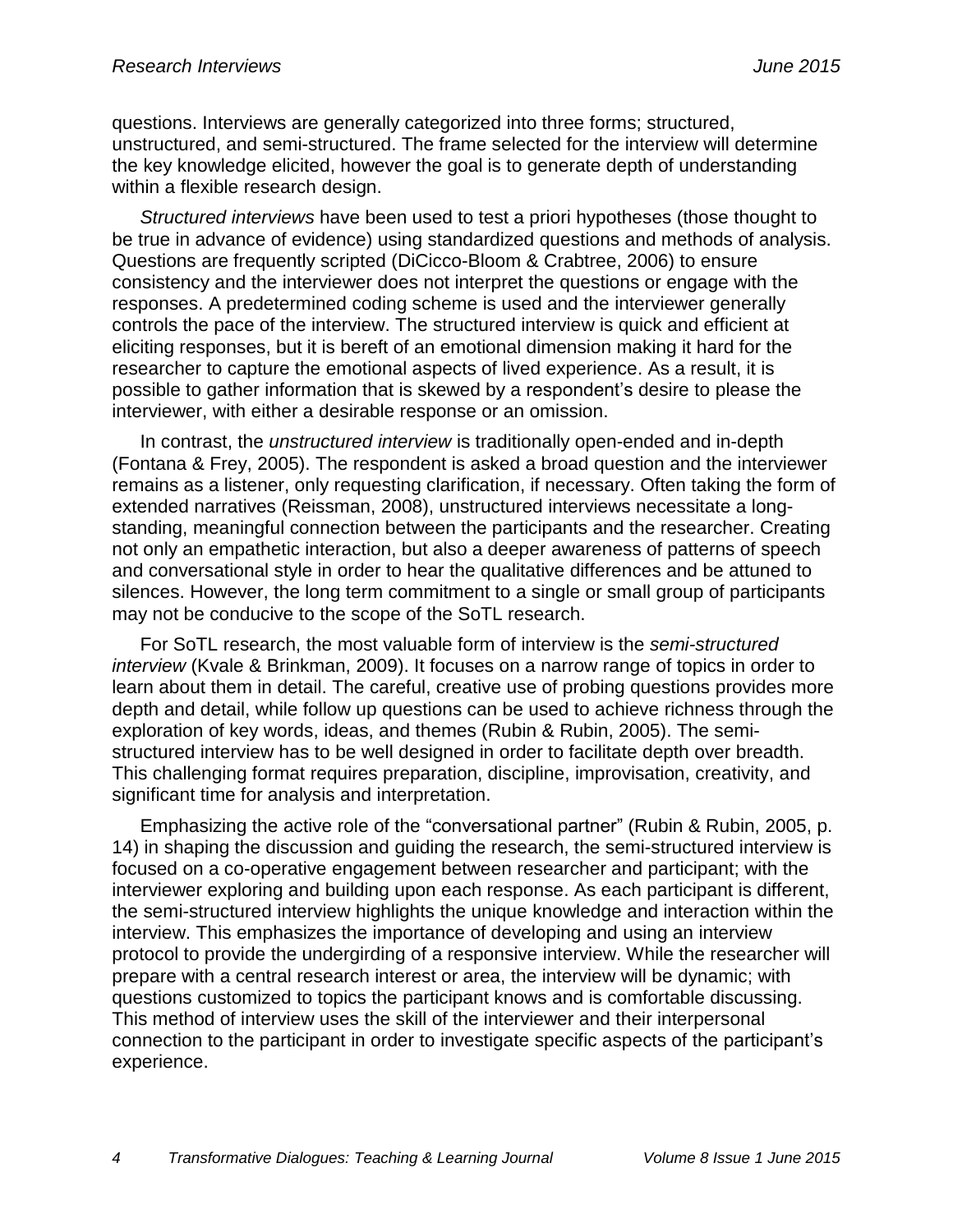questions. Interviews are generally categorized into three forms; structured, unstructured, and semi-structured. The frame selected for the interview will determine the key knowledge elicited, however the goal is to generate depth of understanding within a flexible research design.

*Structured interviews* have been used to test a priori hypotheses (those thought to be true in advance of evidence) using standardized questions and methods of analysis. Questions are frequently scripted (DiCicco-Bloom & Crabtree, 2006) to ensure consistency and the interviewer does not interpret the questions or engage with the responses. A predetermined coding scheme is used and the interviewer generally controls the pace of the interview. The structured interview is quick and efficient at eliciting responses, but it is bereft of an emotional dimension making it hard for the researcher to capture the emotional aspects of lived experience. As a result, it is possible to gather information that is skewed by a respondent's desire to please the interviewer, with either a desirable response or an omission.

In contrast, the *unstructured interview* is traditionally open-ended and in-depth (Fontana & Frey, 2005). The respondent is asked a broad question and the interviewer remains as a listener, only requesting clarification, if necessary. Often taking the form of extended narratives (Reissman, 2008), unstructured interviews necessitate a longstanding, meaningful connection between the participants and the researcher. Creating not only an empathetic interaction, but also a deeper awareness of patterns of speech and conversational style in order to hear the qualitative differences and be attuned to silences. However, the long term commitment to a single or small group of participants may not be conducive to the scope of the SoTL research.

For SoTL research, the most valuable form of interview is the *semi-structured interview* (Kvale & Brinkman, 2009). It focuses on a narrow range of topics in order to learn about them in detail. The careful, creative use of probing questions provides more depth and detail, while follow up questions can be used to achieve richness through the exploration of key words, ideas, and themes (Rubin & Rubin, 2005). The semistructured interview has to be well designed in order to facilitate depth over breadth. This challenging format requires preparation, discipline, improvisation, creativity, and significant time for analysis and interpretation.

Emphasizing the active role of the "conversational partner" (Rubin & Rubin, 2005, p. 14) in shaping the discussion and guiding the research, the semi-structured interview is focused on a co-operative engagement between researcher and participant; with the interviewer exploring and building upon each response. As each participant is different, the semi-structured interview highlights the unique knowledge and interaction within the interview. This emphasizes the importance of developing and using an interview protocol to provide the undergirding of a responsive interview. While the researcher will prepare with a central research interest or area, the interview will be dynamic; with questions customized to topics the participant knows and is comfortable discussing. This method of interview uses the skill of the interviewer and their interpersonal connection to the participant in order to investigate specific aspects of the participant's experience.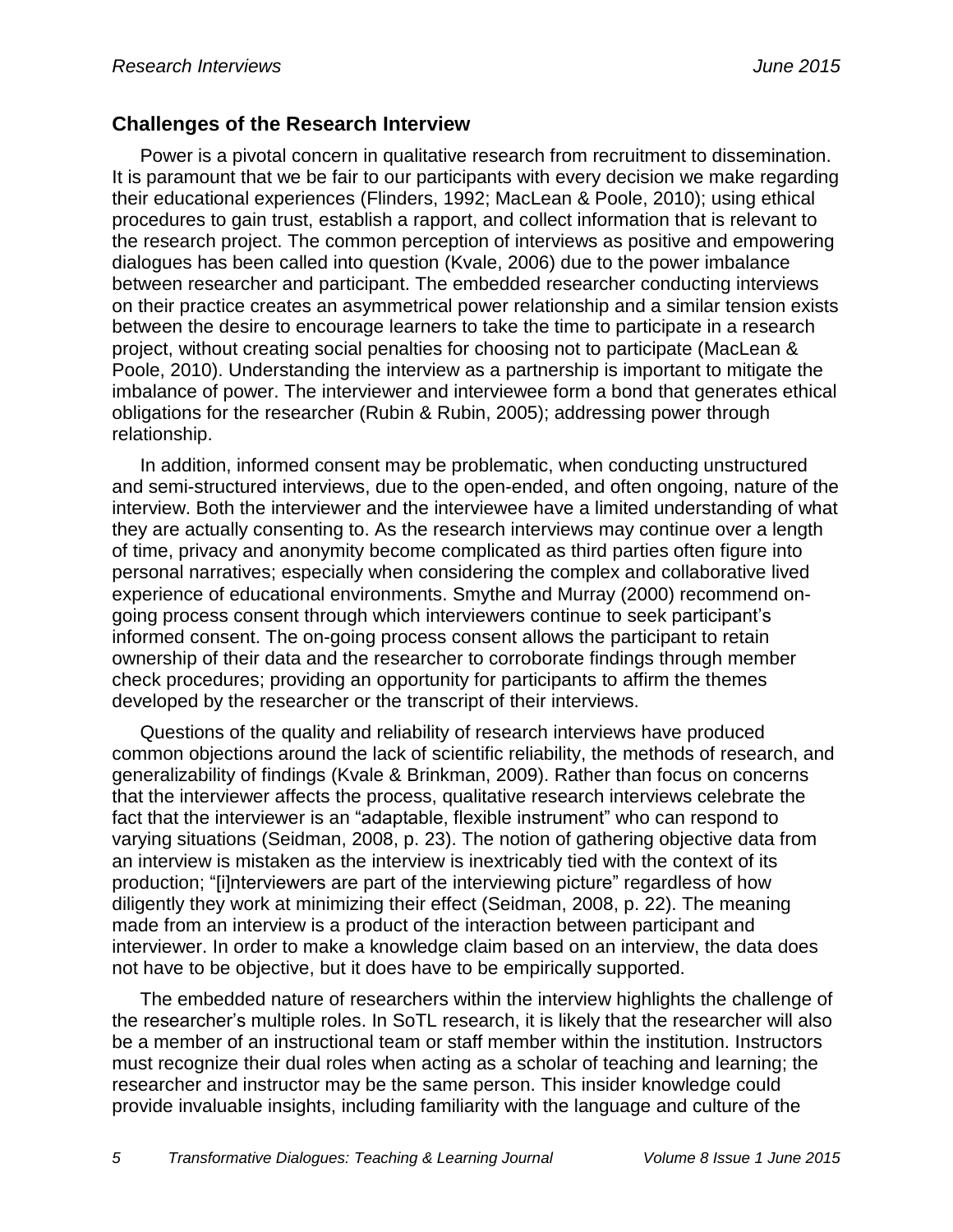#### **Challenges of the Research Interview**

Power is a pivotal concern in qualitative research from recruitment to dissemination. It is paramount that we be fair to our participants with every decision we make regarding their educational experiences (Flinders, 1992; MacLean & Poole, 2010); using ethical procedures to gain trust, establish a rapport, and collect information that is relevant to the research project. The common perception of interviews as positive and empowering dialogues has been called into question (Kvale, 2006) due to the power imbalance between researcher and participant. The embedded researcher conducting interviews on their practice creates an asymmetrical power relationship and a similar tension exists between the desire to encourage learners to take the time to participate in a research project, without creating social penalties for choosing not to participate (MacLean & Poole, 2010). Understanding the interview as a partnership is important to mitigate the imbalance of power. The interviewer and interviewee form a bond that generates ethical obligations for the researcher (Rubin & Rubin, 2005); addressing power through relationship.

In addition, informed consent may be problematic, when conducting unstructured and semi-structured interviews, due to the open-ended, and often ongoing, nature of the interview. Both the interviewer and the interviewee have a limited understanding of what they are actually consenting to. As the research interviews may continue over a length of time, privacy and anonymity become complicated as third parties often figure into personal narratives; especially when considering the complex and collaborative lived experience of educational environments. Smythe and Murray (2000) recommend ongoing process consent through which interviewers continue to seek participant's informed consent. The on-going process consent allows the participant to retain ownership of their data and the researcher to corroborate findings through member check procedures; providing an opportunity for participants to affirm the themes developed by the researcher or the transcript of their interviews.

Questions of the quality and reliability of research interviews have produced common objections around the lack of scientific reliability, the methods of research, and generalizability of findings (Kvale & Brinkman, 2009). Rather than focus on concerns that the interviewer affects the process, qualitative research interviews celebrate the fact that the interviewer is an "adaptable, flexible instrument" who can respond to varying situations (Seidman, 2008, p. 23). The notion of gathering objective data from an interview is mistaken as the interview is inextricably tied with the context of its production; "[i]nterviewers are part of the interviewing picture" regardless of how diligently they work at minimizing their effect (Seidman, 2008, p. 22). The meaning made from an interview is a product of the interaction between participant and interviewer. In order to make a knowledge claim based on an interview, the data does not have to be objective, but it does have to be empirically supported.

The embedded nature of researchers within the interview highlights the challenge of the researcher's multiple roles. In SoTL research, it is likely that the researcher will also be a member of an instructional team or staff member within the institution. Instructors must recognize their dual roles when acting as a scholar of teaching and learning; the researcher and instructor may be the same person. This insider knowledge could provide invaluable insights, including familiarity with the language and culture of the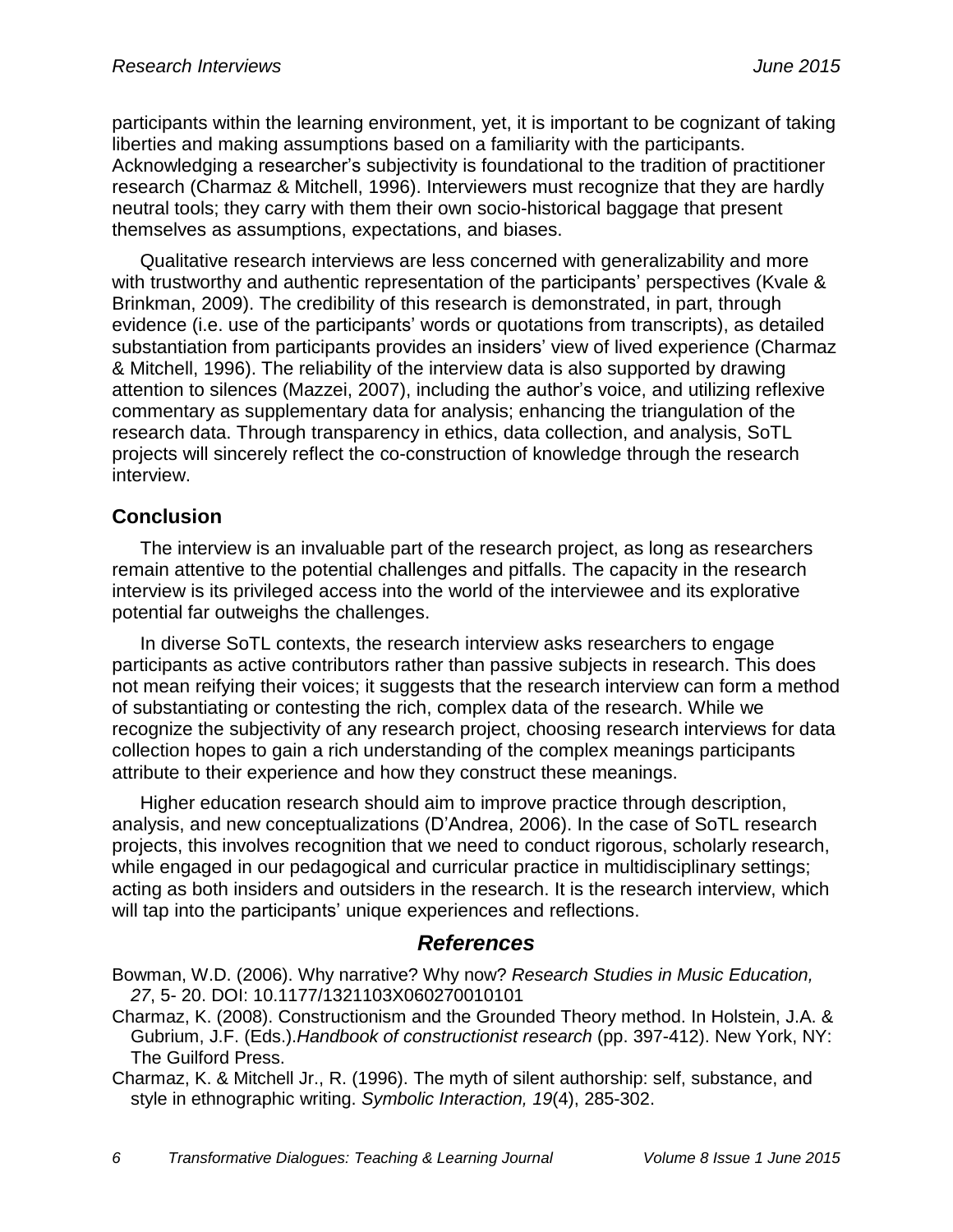participants within the learning environment, yet, it is important to be cognizant of taking liberties and making assumptions based on a familiarity with the participants. Acknowledging a researcher's subjectivity is foundational to the tradition of practitioner research (Charmaz & Mitchell, 1996). Interviewers must recognize that they are hardly neutral tools; they carry with them their own socio-historical baggage that present themselves as assumptions, expectations, and biases.

Qualitative research interviews are less concerned with generalizability and more with trustworthy and authentic representation of the participants' perspectives (Kvale & Brinkman, 2009). The credibility of this research is demonstrated, in part, through evidence (i.e. use of the participants' words or quotations from transcripts), as detailed substantiation from participants provides an insiders' view of lived experience (Charmaz & Mitchell, 1996). The reliability of the interview data is also supported by drawing attention to silences (Mazzei, 2007), including the author's voice, and utilizing reflexive commentary as supplementary data for analysis; enhancing the triangulation of the research data. Through transparency in ethics, data collection, and analysis, SoTL projects will sincerely reflect the co-construction of knowledge through the research interview.

#### **Conclusion**

The interview is an invaluable part of the research project, as long as researchers remain attentive to the potential challenges and pitfalls. The capacity in the research interview is its privileged access into the world of the interviewee and its explorative potential far outweighs the challenges.

In diverse SoTL contexts, the research interview asks researchers to engage participants as active contributors rather than passive subjects in research. This does not mean reifying their voices; it suggests that the research interview can form a method of substantiating or contesting the rich, complex data of the research. While we recognize the subjectivity of any research project, choosing research interviews for data collection hopes to gain a rich understanding of the complex meanings participants attribute to their experience and how they construct these meanings.

Higher education research should aim to improve practice through description, analysis, and new conceptualizations (D'Andrea, 2006). In the case of SoTL research projects, this involves recognition that we need to conduct rigorous, scholarly research, while engaged in our pedagogical and curricular practice in multidisciplinary settings; acting as both insiders and outsiders in the research. It is the research interview, which will tap into the participants' unique experiences and reflections.

#### *References*

Bowman, W.D. (2006). Why narrative? Why now? *Research Studies in Music Education, 27*, 5- 20. DOI: 10.1177/1321103X060270010101

Charmaz, K. (2008). Constructionism and the Grounded Theory method. In Holstein, J.A. & Gubrium, J.F. (Eds.).*Handbook of constructionist research* (pp. 397-412). New York, NY: The Guilford Press.

Charmaz, K. & Mitchell Jr., R. (1996). The myth of silent authorship: self, substance, and style in ethnographic writing. *Symbolic Interaction, 19*(4), 285-302.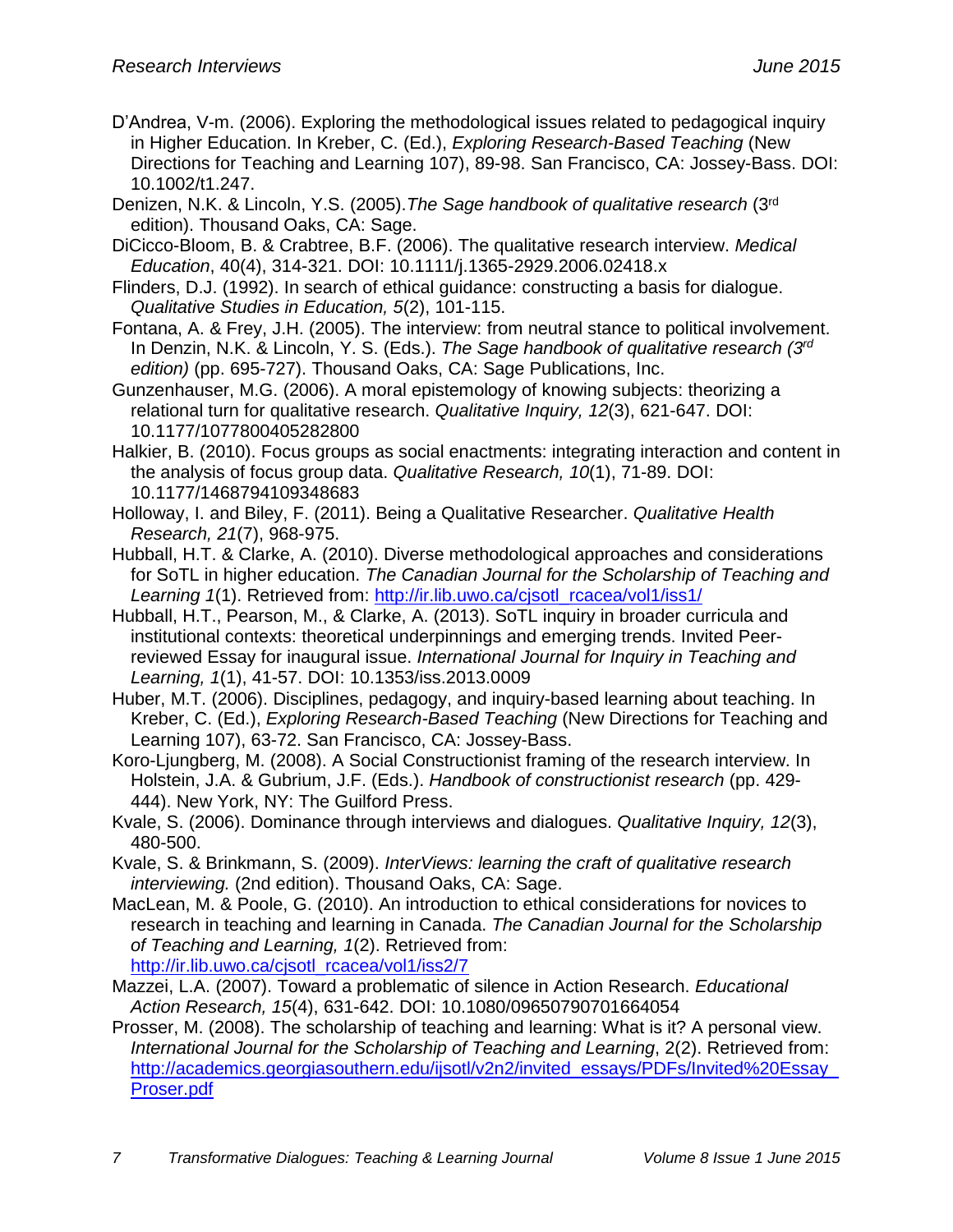- D'Andrea, V-m. (2006). Exploring the methodological issues related to pedagogical inquiry in Higher Education. In Kreber, C. (Ed.), *Exploring Research-Based Teaching* (New Directions for Teaching and Learning 107), 89-98. San Francisco, CA: Jossey-Bass. DOI: 10.1002/t1.247.
- Denizen, N.K. & Lincoln, Y.S. (2005).*The Sage handbook of qualitative research* (3rd edition). Thousand Oaks, CA: Sage.
- DiCicco-Bloom, B. & Crabtree, B.F. (2006). The qualitative research interview. *Medical Education*, 40(4), 314-321. DOI: 10.1111/j.1365-2929.2006.02418.x
- Flinders, D.J. (1992). In search of ethical guidance: constructing a basis for dialogue. *Qualitative Studies in Education, 5*(2), 101-115.
- Fontana, A. & Frey, J.H. (2005). The interview: from neutral stance to political involvement. In Denzin, N.K. & Lincoln, Y. S. (Eds.). *The Sage handbook of qualitative research (3rd edition)* (pp. 695-727). Thousand Oaks, CA: Sage Publications, Inc.
- Gunzenhauser, M.G. (2006). A moral epistemology of knowing subjects: theorizing a relational turn for qualitative research. *Qualitative Inquiry, 12*(3), 621-647. DOI: 10.1177/1077800405282800
- Halkier, B. (2010). Focus groups as social enactments: integrating interaction and content in the analysis of focus group data. *Qualitative Research, 10*(1), 71-89. DOI: 10.1177/1468794109348683
- Holloway, I. and Biley, F. (2011). Being a Qualitative Researcher. *Qualitative Health Research, 21*(7), 968-975.
- Hubball, H.T. & Clarke, A. (2010). Diverse methodological approaches and considerations for SoTL in higher education. *The Canadian Journal for the Scholarship of Teaching and Learning 1*(1). Retrieved from: [http://ir.lib.uwo.ca/cjsotl\\_rcacea/vol1/iss1/](http://ir.lib.uwo.ca/cjsotl_rcacea/vol1/iss1/)
- Hubball, H.T., Pearson, M., & Clarke, A. (2013). SoTL inquiry in broader curricula and institutional contexts: theoretical underpinnings and emerging trends. Invited Peerreviewed Essay for inaugural issue. *International Journal for Inquiry in Teaching and Learning, 1*(1), 41-57. DOI: 10.1353/iss.2013.0009
- Huber, M.T. (2006). Disciplines, pedagogy, and inquiry-based learning about teaching. In Kreber, C. (Ed.), *Exploring Research-Based Teaching* (New Directions for Teaching and Learning 107), 63-72. San Francisco, CA: Jossey-Bass.
- Koro-Ljungberg, M. (2008). A Social Constructionist framing of the research interview. In Holstein, J.A. & Gubrium, J.F. (Eds.). *Handbook of constructionist research* (pp. 429- 444). New York, NY: The Guilford Press.
- Kvale, S. (2006). Dominance through interviews and dialogues. *Qualitative Inquiry, 12*(3), 480-500.
- Kvale, S. & Brinkmann, S. (2009). *InterViews: learning the craft of qualitative research interviewing.* (2nd edition). Thousand Oaks, CA: Sage.
- MacLean, M. & Poole, G. (2010). An introduction to ethical considerations for novices to research in teaching and learning in Canada. *The Canadian Journal for the Scholarship of Teaching and Learning, 1*(2). Retrieved from: [http://ir.lib.uwo.ca/cjsotl\\_rcacea/vol1/iss2/7](http://ir.lib.uwo.ca/cjsotl_rcacea/vol1/iss2/7)
- Mazzei, L.A. (2007). Toward a problematic of silence in Action Research. *Educational Action Research, 15*(4), 631-642. DOI: 10.1080/09650790701664054
- Prosser, M. (2008). The scholarship of teaching and learning: What is it? A personal view. *International Journal for the Scholarship of Teaching and Learning*, 2(2). Retrieved from: http://academics.georgiasouthern.edu/ijsotl/v2n2/invited\_essays/PDFs/Invited%20Essay [Proser.pdf](http://academics.georgiasouthern.edu/ijsotl/v2n2/invited_essays/PDFs/Invited%20Essay_Proser.pdf)